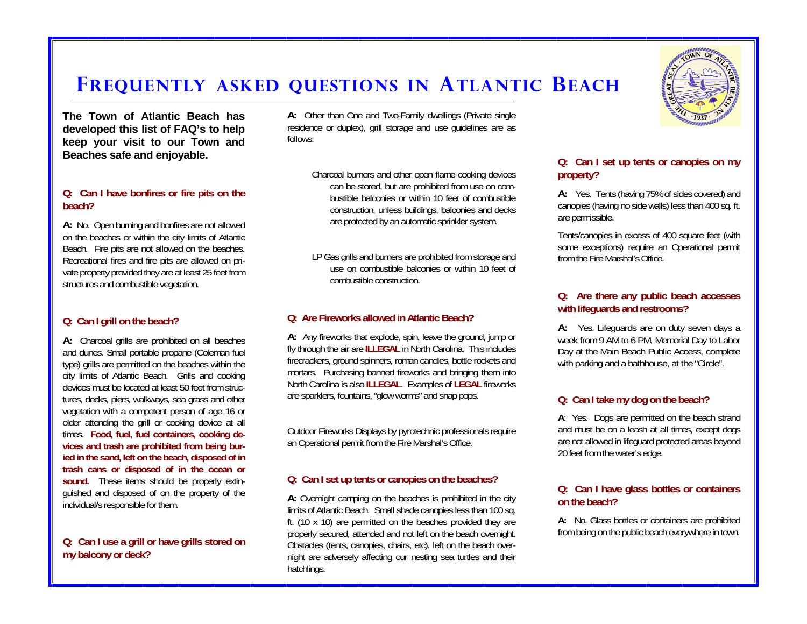# **FREQUENTLY ASKED QUESTIONS IN ATLANTIC BEACH**

**The Town of Atlantic Beach has developed this list of FAQ's to help keep your visit to our Town and Beaches safe and enjoyable.** 

### **Q: Can I have bonfires or fire pits on the beach?**

**A:** No. Open burning and bonfires are not allowed on the beaches or within the city limits of Atlantic Beach. Fire pits are not allowed on the beaches. Recreational fires and fire pits are allowed on private property provided they are at least 25 feet from structures and combustible vegetation.

### **Q: Can I grill on the beach?**

**A:** Charcoal grills are prohibited on all beaches and dunes. Small portable propane (Coleman fuel type) grills are permitted on the beaches within the city limits of Atlantic Beach. Grills and cooking devices must be located at least 50 feet from structures, decks, piers, walkways, sea grass and other vegetation with a competent person of age 16 or older attending the grill or cooking device at all times. **Food, fuel, fuel containers, cooking devices and trash are prohibited from being buried in the sand, left on the beach, disposed of in trash cans or disposed of in the ocean or**  sound. These items should be properly extinguished and disposed of on the property of the individual/s responsible for them.

### **Q: Can I use a grill or have grills stored on my balcony or deck?**

**A:** Other than One and Two-Family dwellings (Private single residence or duplex), grill storage and use guidelines are as follows:

> Charcoal burners and other open flame cooking devices can be stored, but are prohibited from use on combustible balconies or within 10 feet of combustible construction, unless buildings, balconies and decks are protected by an automatic sprinkler system.

> LP Gas grills and burners are prohibited from storage and use on combustible balconies or within 10 feet of combustible construction.

### **Q: Are Fireworks allowed in Atlantic Beach?**

**A:** Any fireworks that explode, spin, leave the ground, jump or fly through the air are **ILLEGAL** in North Carolina. This includes firecrackers, ground spinners, roman candles, bottle rockets and mortars. Purchasing banned fireworks and bringing them into North Carolina is also **ILLEGAL**. Examples of **LEGAL** fireworks are sparklers, fountains, "glow worms" and snap pops.

Outdoor Fireworks Displays by pyrotechnic professionals require an Operational permit from the Fire Marshal's Office.

### **Q: Can I set up tents or canopies on the beaches?**

**A:** Overnight camping on the beaches is prohibited in the city limits of Atlantic Beach. Small shade canopies less than 100 sq. ft. (10 x 10) are permitted on the beaches provided they are properly secured, attended and not left on the beach overnight. Obstacles (tents, canopies, chairs, etc). left on the beach overnight are adversely affecting our nesting sea turtles and their hatchlings.



### **Q: Can I set up tents or canopies on my property?**

**A:** Yes. Tents (having 75% of sides covered) and canopies (having no side walls) less than 400 sq. ft. are permissible.

Tents/canopies in excess of 400 square feet (with some exceptions) require an Operational permit from the Fire Marshal's Office.

### **Q: Are there any public beach accesses with lifeguards and restrooms?**

**A:** Yes. Lifeguards are on duty seven days a week from 9 AM to 6 PM, Memorial Day to Labor Day at the Main Beach Public Access, complete with parking and a bathhouse, at the "Circle".

### **Q: Can I take my dog on the beach?**

**A**: Yes. Dogs are permitted on the beach strand and must be on a leash at all times, except dogs are not allowed in lifeguard protected areas beyond 20 feet from the water's edge.

#### **Q: Can I have glass bottles or containers on the beach?**

**A:** No. Glass bottles or containers are prohibited from being on the public beach everywhere in town.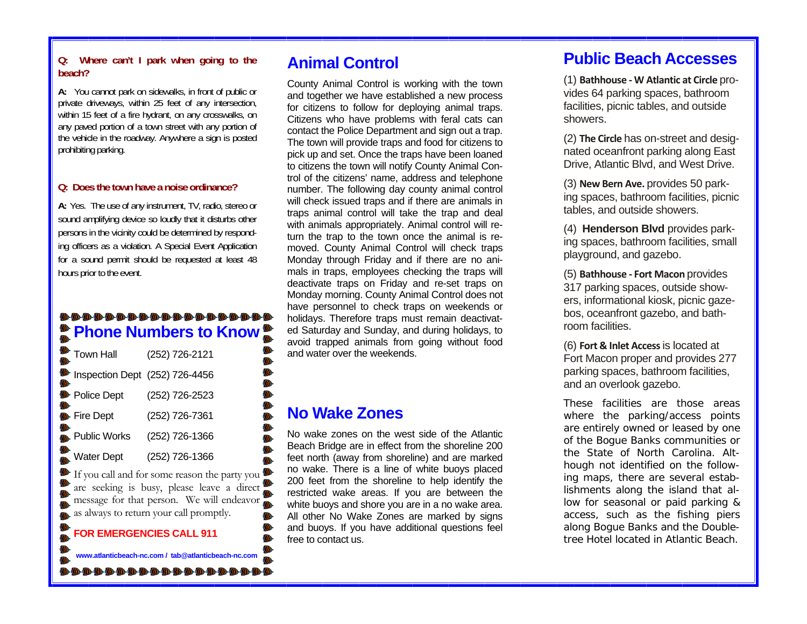### **Q: Where can't I park when going to the beach?**

**A:** You cannot park on sidewalks, in front of public or private driveways, within 25 feet of any intersection, within 15 feet of a fire hydrant, on any crosswalks, on any paved portion of a town street with any portion of the vehicle in the roadway. Anywhere a sign is posted prohibiting parking.

#### **Q: Does the town have a noise ordinance?**

**A:** Yes. The use of any instrument, TV, radio, stereo or sound amplifying device so loudly that it disturbs other persons in the vicinity could be determined by responding officers as a violation. A Special Event Application for a sound permit should be requested at least 48 hours prior to the event.

### **Phone Numbers to Know**

|           | Town Hall                                                                                                                                                                                  | (252) 726-2121                  |
|-----------|--------------------------------------------------------------------------------------------------------------------------------------------------------------------------------------------|---------------------------------|
| <b>OD</b> | Inspection Dept (252) 726-4456                                                                                                                                                             |                                 |
|           | <b>D</b> Police Dept                                                                                                                                                                       | (252) 726-2523                  |
|           | <b>D</b> Fire Dept                                                                                                                                                                         | (252) 726-7361                  |
| (II)      | Public Works                                                                                                                                                                               | (252) 726-1366                  |
|           | $\sum_{n=1}^{\infty}$ Water Dept                                                                                                                                                           | (252) 726-1366                  |
|           | If you call and for some reason the party you<br>The state of the state can be plus y you.<br>The same seeking is busy, please leave a direct<br>message for that person. We will endeavor |                                 |
|           |                                                                                                                                                                                            | <b>FOR EMERGENCIES CALL 911</b> |

**www.atlanticbeach-nc.com / tab@atlanticbeach-nc.com** 

## **Animal Control**

County Animal Control is working with the town and together we have established a new process for citizens to follow for deploying animal traps. Citizens who have problems with feral cats can contact the Police Department and sign out a trap. The town will provide traps and food for citizens to pick up and set. Once the traps have been loaned to citizens the town will notify County Animal Control of the citizens' name, address and telephone number. The following day county animal control will check issued traps and if there are animals in traps animal control will take the trap and deal with animals appropriately. Animal control will return the trap to the town once the animal is removed. County Animal Control will check traps Monday through Friday and if there are no animals in traps, employees checking the traps will deactivate traps on Friday and re-set traps on Monday morning. County Animal Control does not have personnel to check traps on weekends or holidays. Therefore traps must remain deactivated Saturday and Sunday, and during holidays, to avoid trapped animals from going without food and water over the weekends.

## **No Wake Zones**

No wake zones on the west side of the Atlantic Beach Bridge are in effect from the shoreline 200 feet north (away from shoreline) and are marked no wake. There is a line of white buoys placed 200 feet from the shoreline to help identify the restricted wake areas. If you are between the white buoys and shore you are in a no wake area. All other No Wake Zones are marked by signs and buoys. If you have additional questions feel free to contact us.

## **Public Beach Accesses**

(1) **Bathhouse ‐ W Atlantic at Circle** provides 64 parking spaces, bathroom facilities, picnic tables, and outside showers.

(2) **The Circle** has on-street and designated oceanfront parking along East Drive, Atlantic Blvd, and West Drive.

(3) **New Bern Ave.** provides 50 parking spaces, bathroom facilities, picnic tables, and outside showers.

(4) **Henderson Blvd** provides parking spaces, bathroom facilities, small playground, and gazebo.

(5) **Bathhouse ‐ Fort Macon** provides 317 parking spaces, outside showers, informational kiosk, picnic gazebos, oceanfront gazebo, and bathroom facilities.

(6) **Fort & Inlet Access**is located at Fort Macon proper and provides 277 parking spaces, bathroom facilities, and an overlook gazebo.

These facilities are those areas where the parking/access points are entirely owned or leased by one of the Bogue Banks communities or the State of North Carolina. Although not identified on the following maps, there are several establishments along the island that allow for seasonal or paid parking & access, such as the fishing piers along Bogue Banks and the Doubletree Hotel located in Atlantic Beach.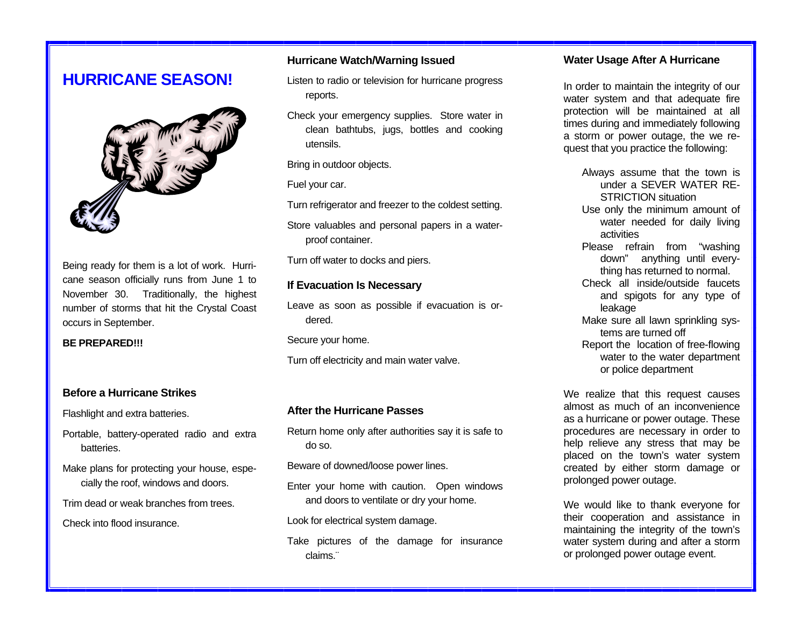## **HURRICANE SEASON!**



Being ready for them is a lot of work. Hurricane season officially runs from June 1 to November 30. Traditionally, the highest number of storms that hit the Crystal Coast occurs in September.

**BE PREPARED!!!** 

#### **Before a Hurricane Strikes**

Flashlight and extra batteries.

- Portable, battery-operated radio and extra batteries.
- Make plans for protecting your house, especially the roof, windows and doors.
- Trim dead or weak branches from trees.

Check into flood insurance.

### **Hurricane Watch/Warning Issued**

- Listen to radio or television for hurricane progress reports.
- Check your emergency supplies. Store water in clean bathtubs, jugs, bottles and cooking utensils.

Bring in outdoor objects.

Fuel your car.

Turn refrigerator and freezer to the coldest setting.

Store valuables and personal papers in a waterproof container.

Turn off water to docks and piers.

### **If Evacuation Is Necessary**

Leave as soon as possible if evacuation is ordered.

Secure your home.

Turn off electricity and main water valve.

#### **After the Hurricane Passes**

Return home only after authorities say it is safe to do so.

Beware of downed/loose power lines.

Enter your home with caution. Open windows and doors to ventilate or dry your home.

Look for electrical system damage.

Take pictures of the damage for insurance claims.¨

#### **Water Usage After A Hurricane**

In order to maintain the integrity of our water system and that adequate fire protection will be maintained at all times during and immediately following a storm or power outage, the we request that you practice the following:

- Always assume that the town is under a SEVER WATER RE-STRICTION situation Use only the minimum amount of water needed for daily living activities Please refrain from "washing down" anything until everything has returned to normal. Check all inside/outside faucets
- and spigots for any type of leakage
- Make sure all lawn sprinkling systems are turned off
- Report the location of free-flowing water to the water department or police department

We realize that this request causes almost as much of an inconvenience as a hurricane or power outage. These procedures are necessary in order to help relieve any stress that may be placed on the town's water system created by either storm damage or prolonged power outage.

We would like to thank everyone for their cooperation and assistance in maintaining the integrity of the town's water system during and after a storm or prolonged power outage event.